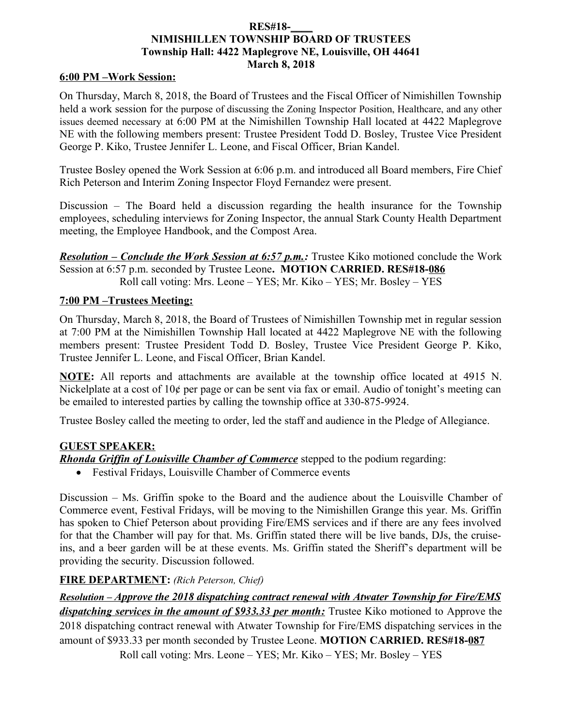### **RES#18-\_\_\_\_ NIMISHILLEN TOWNSHIP BOARD OF TRUSTEES Township Hall: 4422 Maplegrove NE, Louisville, OH 44641 March 8, 2018**

#### **6:00 PM –Work Session:**

On Thursday, March 8, 2018, the Board of Trustees and the Fiscal Officer of Nimishillen Township held a work session for the purpose of discussing the Zoning Inspector Position, Healthcare, and any other issues deemed necessary at 6:00 PM at the Nimishillen Township Hall located at 4422 Maplegrove NE with the following members present: Trustee President Todd D. Bosley, Trustee Vice President George P. Kiko, Trustee Jennifer L. Leone, and Fiscal Officer, Brian Kandel.

Trustee Bosley opened the Work Session at 6:06 p.m. and introduced all Board members, Fire Chief Rich Peterson and Interim Zoning Inspector Floyd Fernandez were present.

Discussion – The Board held a discussion regarding the health insurance for the Township employees, scheduling interviews for Zoning Inspector, the annual Stark County Health Department meeting, the Employee Handbook, and the Compost Area.

*Resolution – Conclude the Work Session at 6:57 p.m.:* Trustee Kiko motioned conclude the Work Session at 6:57 p.m. seconded by Trustee Leone**. MOTION CARRIED. RES#18-086** Roll call voting: Mrs. Leone – YES; Mr. Kiko – YES; Mr. Bosley – YES

### **7:00 PM –Trustees Meeting:**

On Thursday, March 8, 2018, the Board of Trustees of Nimishillen Township met in regular session at 7:00 PM at the Nimishillen Township Hall located at 4422 Maplegrove NE with the following members present: Trustee President Todd D. Bosley, Trustee Vice President George P. Kiko, Trustee Jennifer L. Leone, and Fiscal Officer, Brian Kandel.

**NOTE:** All reports and attachments are available at the township office located at 4915 N. Nickelplate at a cost of 10¢ per page or can be sent via fax or email. Audio of tonight's meeting can be emailed to interested parties by calling the township office at 330-875-9924.

Trustee Bosley called the meeting to order, led the staff and audience in the Pledge of Allegiance.

### **GUEST SPEAKER:**

*Rhonda Griffin of Louisville Chamber of Commerce* stepped to the podium regarding:

Festival Fridays, Louisville Chamber of Commerce events

Discussion – Ms. Griffin spoke to the Board and the audience about the Louisville Chamber of Commerce event, Festival Fridays, will be moving to the Nimishillen Grange this year. Ms. Griffin has spoken to Chief Peterson about providing Fire/EMS services and if there are any fees involved for that the Chamber will pay for that. Ms. Griffin stated there will be live bands, DJs, the cruiseins, and a beer garden will be at these events. Ms. Griffin stated the Sheriff's department will be providing the security. Discussion followed.

### **FIRE DEPARTMENT:** *(Rich Peterson, Chief)*

 *Resolution – Approve the 2018 dispatching contract renewal with Atwater Township for Fire/EMS dispatching services in the amount of \$933.33 per month:* Trustee Kiko motioned to Approve the 2018 dispatching contract renewal with Atwater Township for Fire/EMS dispatching services in the amount of \$933.33 per month seconded by Trustee Leone. **MOTION CARRIED. RES#18-087** Roll call voting: Mrs. Leone – YES; Mr. Kiko – YES; Mr. Bosley – YES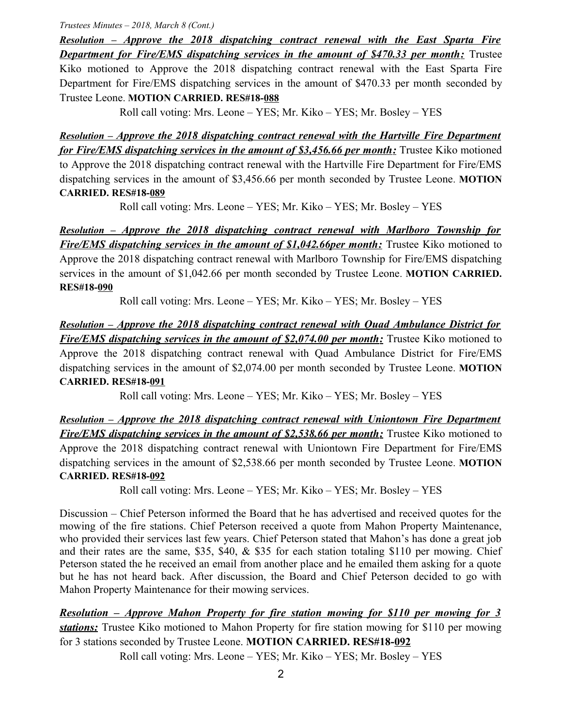*Trustees Minutes – 2018, March 8 (Cont.)*

 *Resolution – Approve the 2018 dispatching contract renewal with the East Sparta Fire Department for Fire/EMS dispatching services in the amount of \$470.33 per month:* Trustee Kiko motioned to Approve the 2018 dispatching contract renewal with the East Sparta Fire Department for Fire/EMS dispatching services in the amount of \$470.33 per month seconded by Trustee Leone. **MOTION CARRIED. RES#18-088**

Roll call voting: Mrs. Leone – YES; Mr. Kiko – YES; Mr. Bosley – YES

 *Resolution – Approve the 2018 dispatching contract renewal with the Hartville Fire Department for Fire/EMS dispatching services in the amount of \$3,456.66 per month:* Trustee Kiko motioned to Approve the 2018 dispatching contract renewal with the Hartville Fire Department for Fire/EMS dispatching services in the amount of \$3,456.66 per month seconded by Trustee Leone. **MOTION CARRIED. RES#18-089**

Roll call voting: Mrs. Leone – YES; Mr. Kiko – YES; Mr. Bosley – YES

 *Resolution – Approve the 2018 dispatching contract renewal with Marlboro Township for Fire/EMS dispatching services in the amount of \$1,042.66per month:* Trustee Kiko motioned to Approve the 2018 dispatching contract renewal with Marlboro Township for Fire/EMS dispatching services in the amount of \$1,042.66 per month seconded by Trustee Leone. **MOTION CARRIED. RES#18-090**

Roll call voting: Mrs. Leone – YES; Mr. Kiko – YES; Mr. Bosley – YES

 *Resolution – Approve the 2018 dispatching contract renewal with Quad Ambulance District for Fire/EMS dispatching services in the amount of \$2,074.00 per month:* Trustee Kiko motioned to Approve the 2018 dispatching contract renewal with Quad Ambulance District for Fire/EMS dispatching services in the amount of \$2,074.00 per month seconded by Trustee Leone. **MOTION CARRIED. RES#18-091**

Roll call voting: Mrs. Leone – YES; Mr. Kiko – YES; Mr. Bosley – YES

 *Resolution – Approve the 2018 dispatching contract renewal with Uniontown Fire Department Fire/EMS dispatching services in the amount of \$2,538.66 per month:* Trustee Kiko motioned to Approve the 2018 dispatching contract renewal with Uniontown Fire Department for Fire/EMS dispatching services in the amount of \$2,538.66 per month seconded by Trustee Leone. **MOTION CARRIED. RES#18-092**

Roll call voting: Mrs. Leone – YES; Mr. Kiko – YES; Mr. Bosley – YES

Discussion – Chief Peterson informed the Board that he has advertised and received quotes for the mowing of the fire stations. Chief Peterson received a quote from Mahon Property Maintenance, who provided their services last few years. Chief Peterson stated that Mahon's has done a great job and their rates are the same, \$35, \$40, & \$35 for each station totaling \$110 per mowing. Chief Peterson stated the he received an email from another place and he emailed them asking for a quote but he has not heard back. After discussion, the Board and Chief Peterson decided to go with Mahon Property Maintenance for their mowing services.

 *Resolution – Approve Mahon Property for fire station mowing for \$110 per mowing for 3 stations:* Trustee Kiko motioned to Mahon Property for fire station mowing for \$110 per mowing for 3 stations seconded by Trustee Leone. **MOTION CARRIED. RES#18-092**

Roll call voting: Mrs. Leone – YES; Mr. Kiko – YES; Mr. Bosley – YES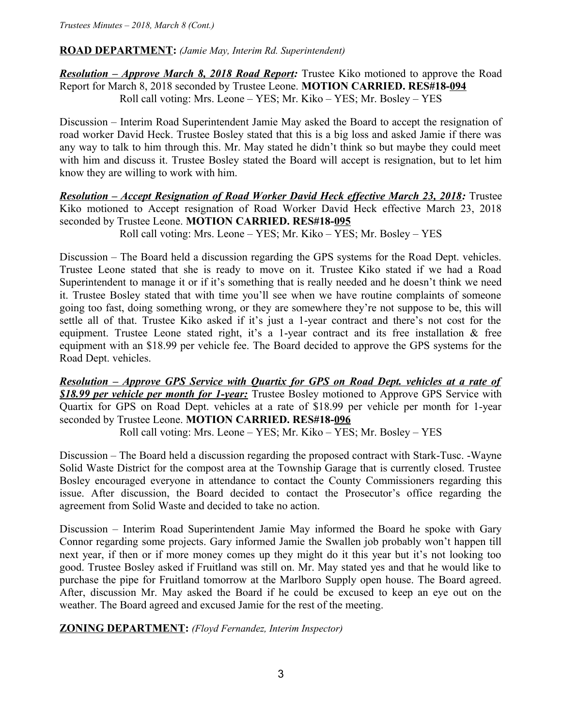### **ROAD DEPARTMENT:** *(Jamie May, Interim Rd. Superintendent)*

*Resolution – Approve March 8, 2018 Road Report:* Trustee Kiko motioned to approve the Road Report for March 8, 2018 seconded by Trustee Leone. **MOTION CARRIED. RES#18-094** Roll call voting: Mrs. Leone – YES; Mr. Kiko – YES; Mr. Bosley – YES

Discussion – Interim Road Superintendent Jamie May asked the Board to accept the resignation of road worker David Heck. Trustee Bosley stated that this is a big loss and asked Jamie if there was any way to talk to him through this. Mr. May stated he didn't think so but maybe they could meet with him and discuss it. Trustee Bosley stated the Board will accept is resignation, but to let him know they are willing to work with him.

*Resolution – Accept Resignation of Road Worker David Heck effective March 23, 2018:* Trustee Kiko motioned to Accept resignation of Road Worker David Heck effective March 23, 2018 seconded by Trustee Leone. **MOTION CARRIED. RES#18-095**

Roll call voting: Mrs. Leone – YES; Mr. Kiko – YES; Mr. Bosley – YES

Discussion – The Board held a discussion regarding the GPS systems for the Road Dept. vehicles. Trustee Leone stated that she is ready to move on it. Trustee Kiko stated if we had a Road Superintendent to manage it or if it's something that is really needed and he doesn't think we need it. Trustee Bosley stated that with time you'll see when we have routine complaints of someone going too fast, doing something wrong, or they are somewhere they're not suppose to be, this will settle all of that. Trustee Kiko asked if it's just a 1-year contract and there's not cost for the equipment. Trustee Leone stated right, it's a 1-year contract and its free installation & free equipment with an \$18.99 per vehicle fee. The Board decided to approve the GPS systems for the Road Dept. vehicles.

*Resolution – Approve GPS Service with Quartix for GPS on Road Dept. vehicles at a rate of \$18.99 per vehicle per month for 1-year:* Trustee Bosley motioned to Approve GPS Service with Quartix for GPS on Road Dept. vehicles at a rate of \$18.99 per vehicle per month for 1-year seconded by Trustee Leone. **MOTION CARRIED. RES#18-096**

Roll call voting: Mrs. Leone – YES; Mr. Kiko – YES; Mr. Bosley – YES

Discussion – The Board held a discussion regarding the proposed contract with Stark-Tusc. -Wayne Solid Waste District for the compost area at the Township Garage that is currently closed. Trustee Bosley encouraged everyone in attendance to contact the County Commissioners regarding this issue. After discussion, the Board decided to contact the Prosecutor's office regarding the agreement from Solid Waste and decided to take no action.

Discussion – Interim Road Superintendent Jamie May informed the Board he spoke with Gary Connor regarding some projects. Gary informed Jamie the Swallen job probably won't happen till next year, if then or if more money comes up they might do it this year but it's not looking too good. Trustee Bosley asked if Fruitland was still on. Mr. May stated yes and that he would like to purchase the pipe for Fruitland tomorrow at the Marlboro Supply open house. The Board agreed. After, discussion Mr. May asked the Board if he could be excused to keep an eye out on the weather. The Board agreed and excused Jamie for the rest of the meeting.

## **ZONING DEPARTMENT:** *(Floyd Fernandez, Interim Inspector)*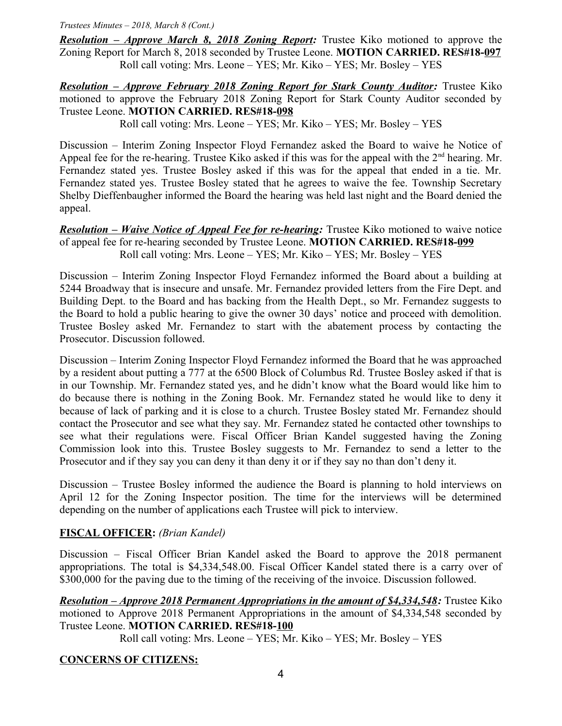*Trustees Minutes – 2018, March 8 (Cont.)*

*Resolution – Approve March 8, 2018 Zoning Report:* Trustee Kiko motioned to approve the Zoning Report for March 8, 2018 seconded by Trustee Leone. **MOTION CARRIED. RES#18-097** Roll call voting: Mrs. Leone – YES; Mr. Kiko – YES; Mr. Bosley – YES

*Resolution – Approve February 2018 Zoning Report for Stark County Auditor:* Trustee Kiko motioned to approve the February 2018 Zoning Report for Stark County Auditor seconded by Trustee Leone. **MOTION CARRIED. RES#18-098**

Roll call voting: Mrs. Leone – YES; Mr. Kiko – YES; Mr. Bosley – YES

Discussion – Interim Zoning Inspector Floyd Fernandez asked the Board to waive he Notice of Appeal fee for the re-hearing. Trustee Kiko asked if this was for the appeal with the  $2<sup>nd</sup>$  hearing. Mr. Fernandez stated yes. Trustee Bosley asked if this was for the appeal that ended in a tie. Mr. Fernandez stated yes. Trustee Bosley stated that he agrees to waive the fee. Township Secretary Shelby Dieffenbaugher informed the Board the hearing was held last night and the Board denied the appeal.

*Resolution – Waive Notice of Appeal Fee for re-hearing:* Trustee Kiko motioned to waive notice of appeal fee for re-hearing seconded by Trustee Leone. **MOTION CARRIED. RES#18-099** Roll call voting: Mrs. Leone – YES; Mr. Kiko – YES; Mr. Bosley – YES

Discussion – Interim Zoning Inspector Floyd Fernandez informed the Board about a building at 5244 Broadway that is insecure and unsafe. Mr. Fernandez provided letters from the Fire Dept. and Building Dept. to the Board and has backing from the Health Dept., so Mr. Fernandez suggests to the Board to hold a public hearing to give the owner 30 days' notice and proceed with demolition. Trustee Bosley asked Mr. Fernandez to start with the abatement process by contacting the Prosecutor. Discussion followed.

Discussion – Interim Zoning Inspector Floyd Fernandez informed the Board that he was approached by a resident about putting a 777 at the 6500 Block of Columbus Rd. Trustee Bosley asked if that is in our Township. Mr. Fernandez stated yes, and he didn't know what the Board would like him to do because there is nothing in the Zoning Book. Mr. Fernandez stated he would like to deny it because of lack of parking and it is close to a church. Trustee Bosley stated Mr. Fernandez should contact the Prosecutor and see what they say. Mr. Fernandez stated he contacted other townships to see what their regulations were. Fiscal Officer Brian Kandel suggested having the Zoning Commission look into this. Trustee Bosley suggests to Mr. Fernandez to send a letter to the Prosecutor and if they say you can deny it than deny it or if they say no than don't deny it.

Discussion – Trustee Bosley informed the audience the Board is planning to hold interviews on April 12 for the Zoning Inspector position. The time for the interviews will be determined depending on the number of applications each Trustee will pick to interview.

# **FISCAL OFFICER:** *(Brian Kandel)*

Discussion – Fiscal Officer Brian Kandel asked the Board to approve the 2018 permanent appropriations. The total is \$4,334,548.00. Fiscal Officer Kandel stated there is a carry over of \$300,000 for the paving due to the timing of the receiving of the invoice. Discussion followed.

*Resolution – Approve 2018 Permanent Appropriations in the amount of \$4,334,548:* **Trustee Kiko** motioned to Approve 2018 Permanent Appropriations in the amount of \$4,334,548 seconded by Trustee Leone. **MOTION CARRIED. RES#18-100**

Roll call voting: Mrs. Leone – YES; Mr. Kiko – YES; Mr. Bosley – YES

## **CONCERNS OF CITIZENS:**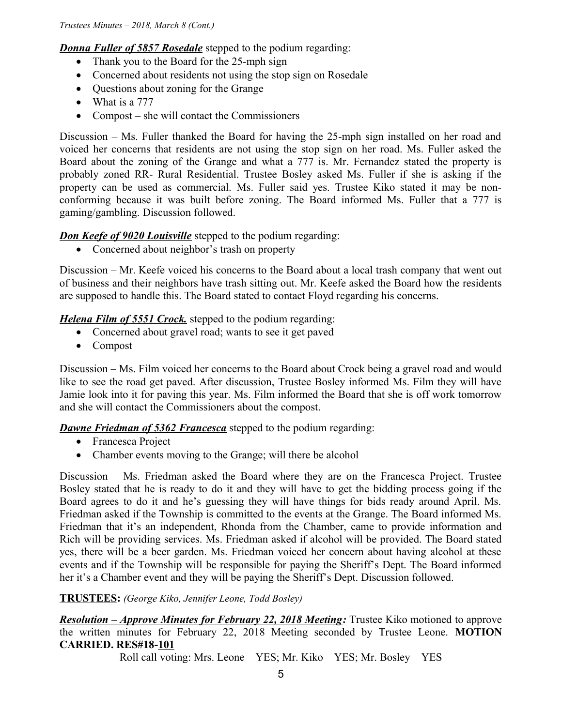*Donna Fuller of 5857 Rosedale* stepped to the podium regarding:

- Thank you to the Board for the 25-mph sign
- Concerned about residents not using the stop sign on Rosedale
- Questions about zoning for the Grange
- What is a 777
- Compost she will contact the Commissioners

Discussion – Ms. Fuller thanked the Board for having the 25-mph sign installed on her road and voiced her concerns that residents are not using the stop sign on her road. Ms. Fuller asked the Board about the zoning of the Grange and what a 777 is. Mr. Fernandez stated the property is probably zoned RR- Rural Residential. Trustee Bosley asked Ms. Fuller if she is asking if the property can be used as commercial. Ms. Fuller said yes. Trustee Kiko stated it may be nonconforming because it was built before zoning. The Board informed Ms. Fuller that a 777 is gaming/gambling. Discussion followed.

# *Don Keefe of 9020 Louisville* stepped to the podium regarding:

• Concerned about neighbor's trash on property

Discussion – Mr. Keefe voiced his concerns to the Board about a local trash company that went out of business and their neighbors have trash sitting out. Mr. Keefe asked the Board how the residents are supposed to handle this. The Board stated to contact Floyd regarding his concerns.

*Helena Film of 5551 Crock*. stepped to the podium regarding:

- Concerned about gravel road; wants to see it get paved
- Compost

Discussion – Ms. Film voiced her concerns to the Board about Crock being a gravel road and would like to see the road get paved. After discussion, Trustee Bosley informed Ms. Film they will have Jamie look into it for paving this year. Ms. Film informed the Board that she is off work tomorrow and she will contact the Commissioners about the compost.

# *Dawne Friedman of 5362 Francesca* stepped to the podium regarding:

- Francesca Project
- Chamber events moving to the Grange; will there be alcohol

Discussion – Ms. Friedman asked the Board where they are on the Francesca Project. Trustee Bosley stated that he is ready to do it and they will have to get the bidding process going if the Board agrees to do it and he's guessing they will have things for bids ready around April. Ms. Friedman asked if the Township is committed to the events at the Grange. The Board informed Ms. Friedman that it's an independent, Rhonda from the Chamber, came to provide information and Rich will be providing services. Ms. Friedman asked if alcohol will be provided. The Board stated yes, there will be a beer garden. Ms. Friedman voiced her concern about having alcohol at these events and if the Township will be responsible for paying the Sheriff's Dept. The Board informed her it's a Chamber event and they will be paying the Sheriff's Dept. Discussion followed.

# **TRUSTEES:** *(George Kiko, Jennifer Leone, Todd Bosley)*

 *Resolution – Approve Minutes for February 22, 2018 Meeting:* Trustee Kiko motioned to approve the written minutes for February 22, 2018 Meeting seconded by Trustee Leone. **MOTION CARRIED. RES#18-101**

Roll call voting: Mrs. Leone – YES; Mr. Kiko – YES; Mr. Bosley – YES